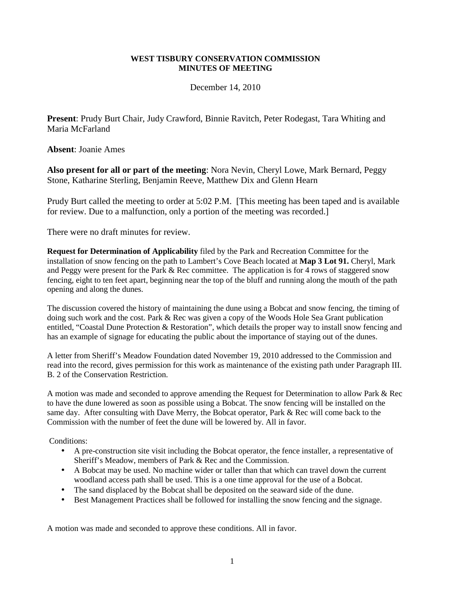## **WEST TISBURY CONSERVATION COMMISSION MINUTES OF MEETING**

December 14, 2010

**Present**: Prudy Burt Chair, Judy Crawford, Binnie Ravitch, Peter Rodegast, Tara Whiting and Maria McFarland

**Absent**: Joanie Ames

**Also present for all or part of the meeting**: Nora Nevin, Cheryl Lowe, Mark Bernard, Peggy Stone, Katharine Sterling, Benjamin Reeve, Matthew Dix and Glenn Hearn

Prudy Burt called the meeting to order at 5:02 P.M. [This meeting has been taped and is available for review. Due to a malfunction, only a portion of the meeting was recorded.]

There were no draft minutes for review.

**Request for Determination of Applicability** filed by the Park and Recreation Committee for the installation of snow fencing on the path to Lambert's Cove Beach located at **Map 3 Lot 91.** Cheryl, Mark and Peggy were present for the Park & Rec committee. The application is for 4 rows of staggered snow fencing, eight to ten feet apart, beginning near the top of the bluff and running along the mouth of the path opening and along the dunes.

The discussion covered the history of maintaining the dune using a Bobcat and snow fencing, the timing of doing such work and the cost. Park & Rec was given a copy of the Woods Hole Sea Grant publication entitled, "Coastal Dune Protection & Restoration", which details the proper way to install snow fencing and has an example of signage for educating the public about the importance of staying out of the dunes.

A letter from Sheriff's Meadow Foundation dated November 19, 2010 addressed to the Commission and read into the record, gives permission for this work as maintenance of the existing path under Paragraph III. B. 2 of the Conservation Restriction.

A motion was made and seconded to approve amending the Request for Determination to allow Park & Rec to have the dune lowered as soon as possible using a Bobcat. The snow fencing will be installed on the same day. After consulting with Dave Merry, the Bobcat operator, Park & Rec will come back to the Commission with the number of feet the dune will be lowered by. All in favor.

Conditions:

- A pre-construction site visit including the Bobcat operator, the fence installer, a representative of Sheriff's Meadow, members of Park & Rec and the Commission.
- A Bobcat may be used. No machine wider or taller than that which can travel down the current woodland access path shall be used. This is a one time approval for the use of a Bobcat.
- The sand displaced by the Bobcat shall be deposited on the seaward side of the dune.
- Best Management Practices shall be followed for installing the snow fencing and the signage.

A motion was made and seconded to approve these conditions. All in favor.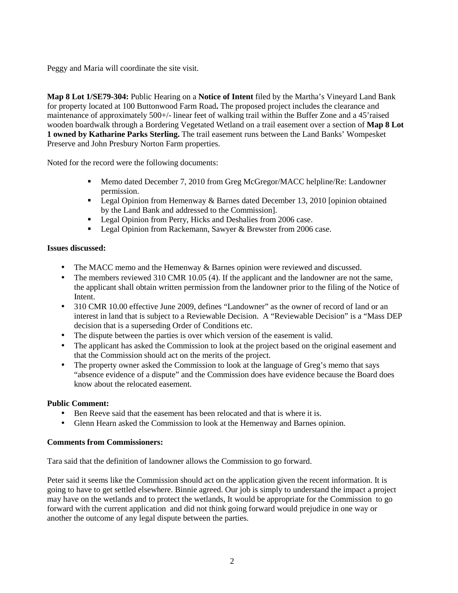Peggy and Maria will coordinate the site visit.

**Map 8 Lot 1/SE79-304:** Public Hearing on a **Notice of Intent** filed by the Martha's Vineyard Land Bank for property located at 100 Buttonwood Farm Road**.** The proposed project includes the clearance and maintenance of approximately 500+/- linear feet of walking trail within the Buffer Zone and a 45'raised wooden boardwalk through a Bordering Vegetated Wetland on a trail easement over a section of **Map 8 Lot 1 owned by Katharine Parks Sterling.** The trail easement runs between the Land Banks' Wompesket Preserve and John Presbury Norton Farm properties.

Noted for the record were the following documents:

- Memo dated December 7, 2010 from Greg McGregor/MACC helpline/Re: Landowner permission.
- **Legal Opinion from Hemenway & Barnes dated December 13, 2010 [opinion obtained** by the Land Bank and addressed to the Commission].
- **Legal Opinion from Perry, Hicks and Deshalies from 2006 case.**
- **Legal Opinion from Rackemann, Sawyer & Brewster from 2006 case.**

## **Issues discussed:**

- The MACC memo and the Hemenway & Barnes opinion were reviewed and discussed.
- The members reviewed 310 CMR 10.05 (4). If the applicant and the landowner are not the same, the applicant shall obtain written permission from the landowner prior to the filing of the Notice of Intent.
- 310 CMR 10.00 effective June 2009, defines "Landowner" as the owner of record of land or an interest in land that is subject to a Reviewable Decision. A "Reviewable Decision" is a "Mass DEP decision that is a superseding Order of Conditions etc.
- The dispute between the parties is over which version of the easement is valid.
- The applicant has asked the Commission to look at the project based on the original easement and that the Commission should act on the merits of the project.
- The property owner asked the Commission to look at the language of Greg's memo that says "absence evidence of a dispute" and the Commission does have evidence because the Board does know about the relocated easement.

## **Public Comment:**

- Ben Reeve said that the easement has been relocated and that is where it is.
- Glenn Hearn asked the Commission to look at the Hemenway and Barnes opinion.

## **Comments from Commissioners:**

Tara said that the definition of landowner allows the Commission to go forward.

Peter said it seems like the Commission should act on the application given the recent information. It is going to have to get settled elsewhere. Binnie agreed. Our job is simply to understand the impact a project may have on the wetlands and to protect the wetlands, It would be appropriate for the Commission to go forward with the current application and did not think going forward would prejudice in one way or another the outcome of any legal dispute between the parties.